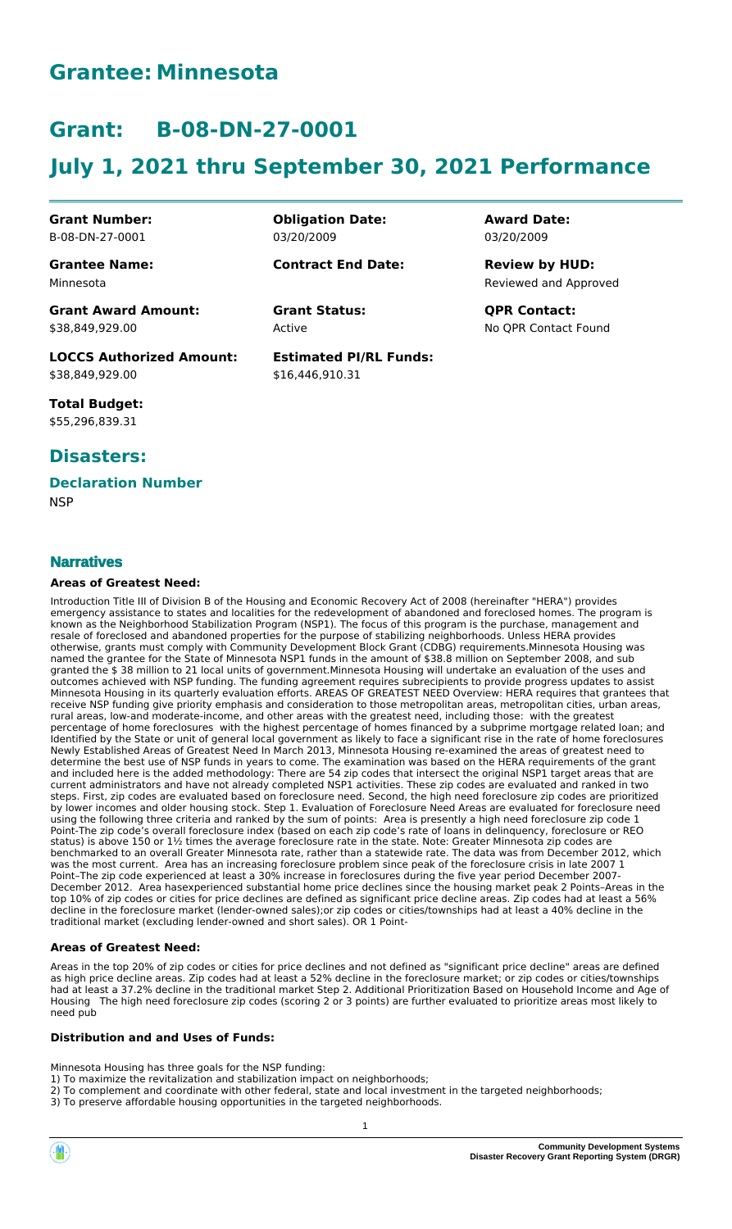# **Grantee: Minnesota**

# **Grant: B-08-DN-27-0001**

# **July 1, 2021 thru September 30, 2021 Performance**

**Obligation Date:**

**Contract End Date:**

03/20/2009

Active

**Estimated PI/RL Funds:**

\$16,446,910.31

**Grant Number:** B-08-DN-27-0001

**Grantee Name:** Minnesota

**Grant Award Amount:** \$38,849,929.00

**LOCCS Authorized Amount:** \$38,849,929.00

**Total Budget:** \$55,296,839.31

## **Disasters:**

# **Declaration Number**

**NSP** 

## **Narratives**

#### **Areas of Greatest Need:**

Introduction Title III of Division B of the Housing and Economic Recovery Act of 2008 (hereinafter "HERA") provides emergency assistance to states and localities for the redevelopment of abandoned and foreclosed homes. The program is known as the Neighborhood Stabilization Program (NSP1). The focus of this program is the purchase, management and resale of foreclosed and abandoned properties for the purpose of stabilizing neighborhoods. Unless HERA provides otherwise, grants must comply with Community Development Block Grant (CDBG) requirements.Minnesota Housing was named the grantee for the State of Minnesota NSP1 funds in the amount of \$38.8 million on September 2008, and sub granted the \$ 38 million to 21 local units of government.Minnesota Housing will undertake an evaluation of the uses and outcomes achieved with NSP funding. The funding agreement requires subrecipients to provide progress updates to assist Minnesota Housing in its quarterly evaluation efforts. AREAS OF GREATEST NEED Overview: HERA requires that grantees that receive NSP funding give priority emphasis and consideration to those metropolitan areas, metropolitan cities, urban areas, rural areas, low-and moderate-income, and other areas with the greatest need, including those: with the greatest percentage of home foreclosures with the highest percentage of homes financed by a subprime mortgage related loan; and Identified by the State or unit of general local government as likely to face a significant rise in the rate of home foreclosures Newly Established Areas of Greatest Need In March 2013, Minnesota Housing re-examined the areas of greatest need to determine the best use of NSP funds in years to come. The examination was based on the HERA requirements of the grant and included here is the added methodology: There are 54 zip codes that intersect the original NSP1 target areas that are current administrators and have not already completed NSP1 activities. These zip codes are evaluated and ranked in two steps. First, zip codes are evaluated based on foreclosure need. Second, the high need foreclosure zip codes are prioritized by lower incomes and older housing stock. Step 1. Evaluation of Foreclosure Need Areas are evaluated for foreclosure need using the following three criteria and ranked by the sum of points: Area is presently a high need foreclosure zip code Point-The zip code's overall foreclosure index (based on each zip code's rate of loans in delinquency, foreclosure or REO status) is above 150 or 1½ times the average foreclosure rate in the state. Note: Greater Minnesota zip codes are benchmarked to an overall Greater Minnesota rate, rather than a statewide rate. The data was from December 2012, which was the most current. Area has an increasing foreclosure problem since peak of the foreclosure crisis in late 2007 1 Point–The zip code experienced at least a 30% increase in foreclosures during the five year period December 2007- December 2012. Area hasexperienced substantial home price declines since the housing market peak 2 Points–Areas in the top 10% of zip codes or cities for price declines are defined as significant price decline areas. Zip codes had at least a 56% decline in the foreclosure market (lender-owned sales);or zip codes or cities/townships had at least a 40% decline in the traditional market (excluding lender-owned and short sales). OR 1 Point-

#### **Areas of Greatest Need:**

Areas in the top 20% of zip codes or cities for price declines and not defined as "significant price decline" areas are defined as high price decline areas. Zip codes had at least a 52% decline in the foreclosure market; or zip codes or cities/townships had at least a 37.2% decline in the traditional market Step 2. Additional Prioritization Based on Household Income and Age of Housing The high need foreclosure zip codes (scoring 2 or 3 points) are further evaluated to prioritize areas most likely to need pub

#### **Distribution and and Uses of Funds:**

Minnesota Housing has three goals for the NSP funding:

- 1) To maximize the revitalization and stabilization impact on neighborhoods;
- 2) To complement and coordinate with other federal, state and local investment in the targeted neighborhoods;
- 3) To preserve affordable housing opportunities in the targeted neighborhoods.

Reviewed and Approved **Review by HUD:**

**Grant Status: QPR Contact:** No QPR Contact Found

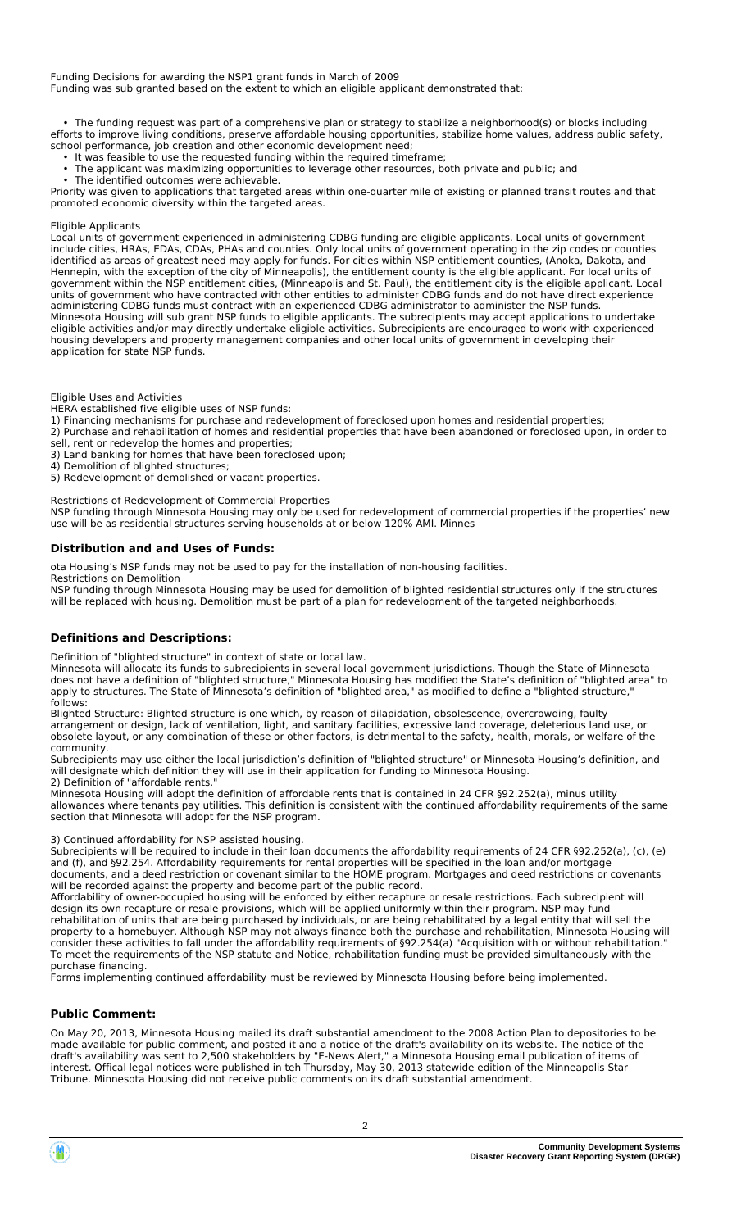#### Funding Decisions for awarding the NSP1 grant funds in March of 2009 Funding was sub granted based on the extent to which an eligible applicant demonstrated that:

 • The funding request was part of a comprehensive plan or strategy to stabilize a neighborhood(s) or blocks including efforts to improve living conditions, preserve affordable housing opportunities, stabilize home values, address public safety, school performance, job creation and other economic development need;

• It was feasible to use the requested funding within the required timeframe;

 • The applicant was maximizing opportunities to leverage other resources, both private and public; and • The identified outcomes were achievable.

Priority was given to applications that targeted areas within one-quarter mile of existing or planned transit routes and that promoted economic diversity within the targeted areas.

#### Eligible Applicants

Local units of government experienced in administering CDBG funding are eligible applicants. Local units of government include cities, HRAs, EDAs, CDAs, PHAs and counties. Only local units of government operating in the zip codes or counties identified as areas of greatest need may apply for funds. For cities within NSP entitlement counties, (Anoka, Dakota, and Hennepin, with the exception of the city of Minneapolis), the entitlement county is the eligible applicant. For local units of government within the NSP entitlement cities, (Minneapolis and St. Paul), the entitlement city is the eligible applicant. Local units of government who have contracted with other entities to administer CDBG funds and do not have direct experience administering CDBG funds must contract with an experienced CDBG administrator to administer the NSP funds. Minnesota Housing will sub grant NSP funds to eligible applicants. The subrecipients may accept applications to undertake eligible activities and/or may directly undertake eligible activities. Subrecipients are encouraged to work with experienced housing developers and property management companies and other local units of government in developing their application for state NSP funds.

#### Eligible Uses and Activities

HERA established five eligible uses of NSP funds:

1) Financing mechanisms for purchase and redevelopment of foreclosed upon homes and residential properties;

2) Purchase and rehabilitation of homes and residential properties that have been abandoned or foreclosed upon, in order to sell, rent or redevelop the homes and properties;

3) Land banking for homes that have been foreclosed upon;

4) Demolition of blighted structures;

5) Redevelopment of demolished or vacant properties.

Restrictions of Redevelopment of Commercial Properties

NSP funding through Minnesota Housing may only be used for redevelopment of commercial properties if the properties' new use will be as residential structures serving households at or below 120% AMI. Minnes

#### **Distribution and and Uses of Funds:**

ota Housing's NSP funds may not be used to pay for the installation of non-housing facilities.

Restrictions on Demolition

NSP funding through Minnesota Housing may be used for demolition of blighted residential structures only if the structures will be replaced with housing. Demolition must be part of a plan for redevelopment of the targeted neighborhoods.

#### **Definitions and Descriptions:**

Definition of "blighted structure" in context of state or local law.

Minnesota will allocate its funds to subrecipients in several local government jurisdictions. Though the State of Minnesota does not have a definition of "blighted structure," Minnesota Housing has modified the State's definition of "blighted area" to apply to structures. The State of Minnesota's definition of "blighted area," as modified to define a "blighted structure," follows:

Blighted Structure: Blighted structure is one which, by reason of dilapidation, obsolescence, overcrowding, faulty arrangement or design, lack of ventilation, light, and sanitary facilities, excessive land coverage, deleterious land use, or obsolete layout, or any combination of these or other factors, is detrimental to the safety, health, morals, or welfare of the community.

Subrecipients may use either the local jurisdiction's definition of "blighted structure" or Minnesota Housing's definition, and will designate which definition they will use in their application for funding to Minnesota Housing.

#### 2) Definition of "affordable rents."

Minnesota Housing will adopt the definition of affordable rents that is contained in 24 CFR §92.252(a), minus utility allowances where tenants pay utilities. This definition is consistent with the continued affordability requirements of the same section that Minnesota will adopt for the NSP program.

#### 3) Continued affordability for NSP assisted housing.

Subrecipients will be required to include in their loan documents the affordability requirements of 24 CFR §92.252(a), (c), (e) and (f), and §92.254. Affordability requirements for rental properties will be specified in the loan and/or mortgage documents, and a deed restriction or covenant similar to the HOME program. Mortgages and deed restrictions or covenants will be recorded against the property and become part of the public record.

Affordability of owner-occupied housing will be enforced by either recapture or resale restrictions. Each subrecipient will design its own recapture or resale provisions, which will be applied uniformly within their program. NSP may fund rehabilitation of units that are being purchased by individuals, or are being rehabilitated by a legal entity that will sell the property to a homebuyer. Although NSP may not always finance both the purchase and rehabilitation, Minnesota Housing will consider these activities to fall under the affordability requirements of §92.254(a) "Acquisition with or without rehabilitation." To meet the requirements of the NSP statute and Notice, rehabilitation funding must be provided simultaneously with the purchase financing.

Forms implementing continued affordability must be reviewed by Minnesota Housing before being implemented.

#### **Public Comment:**

On May 20, 2013, Minnesota Housing mailed its draft substantial amendment to the 2008 Action Plan to depositories to be made available for public comment, and posted it and a notice of the draft's availability on its website. The notice of the draft's availability was sent to 2,500 stakeholders by "E-News Alert," a Minnesota Housing email publication of items of interest. Offical legal notices were published in teh Thursday, May 30, 2013 statewide edition of the Minneapolis Star Tribune. Minnesota Housing did not receive public comments on its draft substantial amendment.

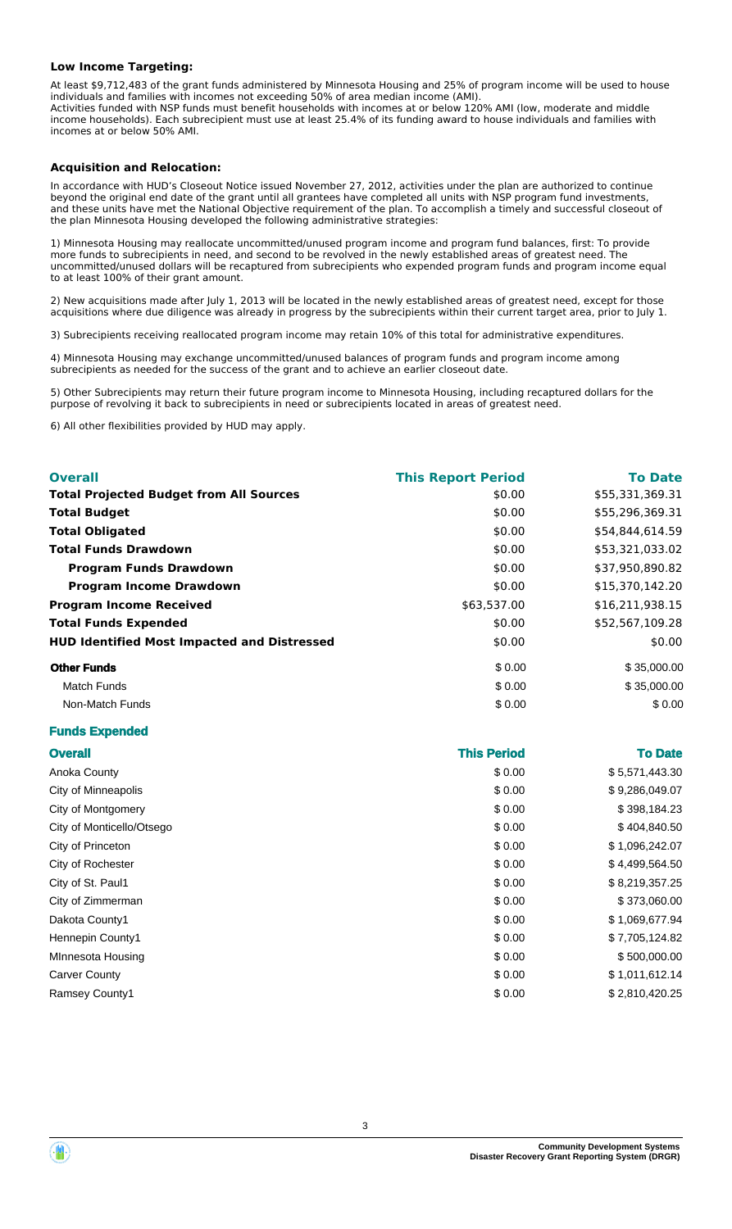#### **Low Income Targeting:**

At least \$9,712,483 of the grant funds administered by Minnesota Housing and 25% of program income will be used to house individuals and families with incomes not exceeding 50% of area median income (AMI). Activities funded with NSP funds must benefit households with incomes at or below 120% AMI (low, moderate and middle income households). Each subrecipient must use at least 25.4% of its funding award to house individuals and families with incomes at or below 50% AMI.

#### **Acquisition and Relocation:**

In accordance with HUD's Closeout Notice issued November 27, 2012, activities under the plan are authorized to continue beyond the original end date of the grant until all grantees have completed all units with NSP program fund investments, and these units have met the National Objective requirement of the plan. To accomplish a timely and successful closeout of the plan Minnesota Housing developed the following administrative strategies:

1) Minnesota Housing may reallocate uncommitted/unused program income and program fund balances, first: To provide more funds to subrecipients in need, and second to be revolved in the newly established areas of greatest need. The uncommitted/unused dollars will be recaptured from subrecipients who expended program funds and program income equal to at least 100% of their grant amount.

2) New acquisitions made after July 1, 2013 will be located in the newly established areas of greatest need, except for those acquisitions where due diligence was already in progress by the subrecipients within their current target area, prior to July 1.

3) Subrecipients receiving reallocated program income may retain 10% of this total for administrative expenditures.

4) Minnesota Housing may exchange uncommitted/unused balances of program funds and program income among subrecipients as needed for the success of the grant and to achieve an earlier closeout date.

5) Other Subrecipients may return their future program income to Minnesota Housing, including recaptured dollars for the purpose of revolving it back to subrecipients in need or subrecipients located in areas of greatest need.

6) All other flexibilities provided by HUD may apply.

| <b>Overall</b>                                     | <b>This Report Period</b> | <b>To Date</b>  |
|----------------------------------------------------|---------------------------|-----------------|
| <b>Total Projected Budget from All Sources</b>     | \$0.00                    | \$55,331,369.31 |
| <b>Total Budget</b>                                | \$0.00                    | \$55,296,369.31 |
| <b>Total Obligated</b>                             | \$0.00                    | \$54,844,614.59 |
| <b>Total Funds Drawdown</b>                        | \$0.00                    | \$53,321,033.02 |
| <b>Program Funds Drawdown</b>                      | \$0.00                    | \$37,950,890.82 |
| <b>Program Income Drawdown</b>                     | \$0.00                    | \$15,370,142.20 |
| <b>Program Income Received</b>                     | \$63,537.00               | \$16,211,938.15 |
| <b>Total Funds Expended</b>                        | \$0.00                    | \$52,567,109.28 |
| <b>HUD Identified Most Impacted and Distressed</b> | \$0.00                    | \$0.00          |
| <b>Other Funds</b>                                 | \$0.00                    | \$35,000.00     |
| <b>Match Funds</b>                                 | \$0.00                    | \$35,000.00     |
| Non-Match Funds                                    | \$0.00                    | \$0.00          |

#### **Funds Expended**

| <b>Overall</b>            | <b>This Period</b> | <b>To Date</b> |
|---------------------------|--------------------|----------------|
| Anoka County              | \$0.00             | \$5,571,443.30 |
| City of Minneapolis       | \$0.00             | \$9,286,049.07 |
| City of Montgomery        | \$0.00             | \$398,184.23   |
| City of Monticello/Otsego | \$0.00             | \$404,840.50   |
| City of Princeton         | \$0.00             | \$1,096,242.07 |
| City of Rochester         | \$0.00             | \$4,499,564.50 |
| City of St. Paul1         | \$0.00             | \$8,219,357.25 |
| City of Zimmerman         | \$0.00             | \$373,060.00   |
| Dakota County1            | \$0.00             | \$1,069,677.94 |
| Hennepin County1          | \$0.00             | \$7,705,124.82 |
| MInnesota Housing         | \$0.00             | \$500,000.00   |
| <b>Carver County</b>      | \$0.00             | \$1,011,612.14 |
| <b>Ramsey County1</b>     | \$0.00             | \$2,810,420.25 |



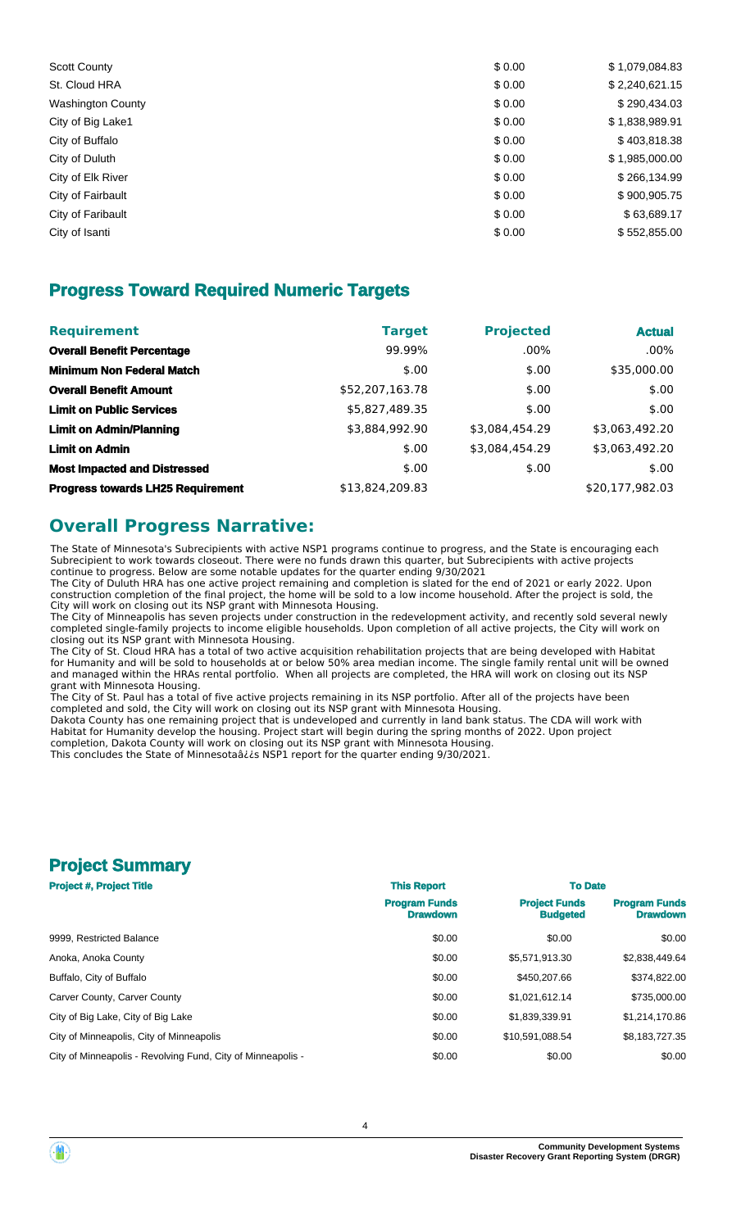| <b>Scott County</b>      | \$0.00 | \$1,079,084.83 |
|--------------------------|--------|----------------|
| St. Cloud HRA            | \$0.00 | \$2,240,621.15 |
| <b>Washington County</b> | \$0.00 | \$290,434.03   |
| City of Big Lake1        | \$0.00 | \$1,838,989.91 |
| City of Buffalo          | \$0.00 | \$403,818.38   |
| City of Duluth           | \$0.00 | \$1,985,000.00 |
| City of Elk River        | \$0.00 | \$266,134.99   |
| City of Fairbault        | \$0.00 | \$900,905.75   |
| City of Faribault        | \$0.00 | \$63,689.17    |
| City of Isanti           | \$0.00 | \$552,855.00   |
|                          |        |                |

## **Progress Toward Required Numeric Targets**

| <b>Requirement</b>                       | <b>Target</b>   | <b>Projected</b> | <b>Actual</b>   |
|------------------------------------------|-----------------|------------------|-----------------|
| <b>Overall Benefit Percentage</b>        | 99.99%          | $.00\%$          | $.00\%$         |
| <b>Minimum Non Federal Match</b>         | \$.00           | \$.00            | \$35,000.00     |
| <b>Overall Benefit Amount</b>            | \$52,207,163.78 | \$.00            | \$.00           |
| <b>Limit on Public Services</b>          | \$5,827,489.35  | \$.00            | \$.00           |
| <b>Limit on Admin/Planning</b>           | \$3,884,992.90  | \$3,084,454.29   | \$3,063,492.20  |
| <b>Limit on Admin</b>                    | \$.00           | \$3,084,454.29   | \$3,063,492.20  |
| <b>Most Impacted and Distressed</b>      | \$.00           | \$.00            | \$.00           |
| <b>Progress towards LH25 Requirement</b> | \$13,824,209.83 |                  | \$20,177,982.03 |

## **Overall Progress Narrative:**

The State of Minnesota's Subrecipients with active NSP1 programs continue to progress, and the State is encouraging each Subrecipient to work towards closeout. There were no funds drawn this quarter, but Subrecipients with active projects continue to progress. Below are some notable updates for the quarter ending 9/30/2021

The City of Duluth HRA has one active project remaining and completion is slated for the end of 2021 or early 2022. Upon construction completion of the final project, the home will be sold to a low income household. After the project is sold, the City will work on closing out its NSP grant with Minnesota Housing.

The City of Minneapolis has seven projects under construction in the redevelopment activity, and recently sold several newly completed single-family projects to income eligible households. Upon completion of all active projects, the City will work on closing out its NSP grant with Minnesota Housing.

The City of St. Cloud HRA has a total of two active acquisition rehabilitation projects that are being developed with Habitat for Humanity and will be sold to households at or below 50% area median income. The single family rental unit will be owned and managed within the HRAs rental portfolio. When all projects are completed, the HRA will work on closing out its NSP grant with Minnesota Housing.

The City of St. Paul has a total of five active projects remaining in its NSP portfolio. After all of the projects have been completed and sold, the City will work on closing out its NSP grant with Minnesota Housing.

Dakota County has one remaining project that is undeveloped and currently in land bank status. The CDA will work with Habitat for Humanity develop the housing. Project start will begin during the spring months of 2022. Upon project completion, Dakota County will work on closing out its NSP grant with Minnesota Housing. This concludes the State of Minnesotaâ¿¿s NSP1 report for the quarter ending 9/30/2021.

## **Project Summary**

| <b>Project #, Project Title</b>                             | <b>This Report</b>                      | <b>To Date</b>                          |                                         |  |
|-------------------------------------------------------------|-----------------------------------------|-----------------------------------------|-----------------------------------------|--|
|                                                             | <b>Program Funds</b><br><b>Drawdown</b> | <b>Project Funds</b><br><b>Budgeted</b> | <b>Program Funds</b><br><b>Drawdown</b> |  |
| 9999. Restricted Balance                                    | \$0.00                                  | \$0.00                                  | \$0.00                                  |  |
| Anoka, Anoka County                                         | \$0.00                                  | \$5,571,913.30                          | \$2,838,449.64                          |  |
| Buffalo, City of Buffalo                                    | \$0.00                                  | \$450,207.66                            | \$374,822.00                            |  |
| Carver County, Carver County                                | \$0.00                                  | \$1.021.612.14                          | \$735,000.00                            |  |
| City of Big Lake, City of Big Lake                          | \$0.00                                  | \$1,839,339.91                          | \$1,214,170.86                          |  |
| City of Minneapolis, City of Minneapolis                    | \$0.00                                  | \$10,591,088.54                         | \$8,183,727.35                          |  |
| City of Minneapolis - Revolving Fund, City of Minneapolis - | \$0.00                                  | \$0.00                                  | \$0.00                                  |  |
|                                                             |                                         |                                         |                                         |  |

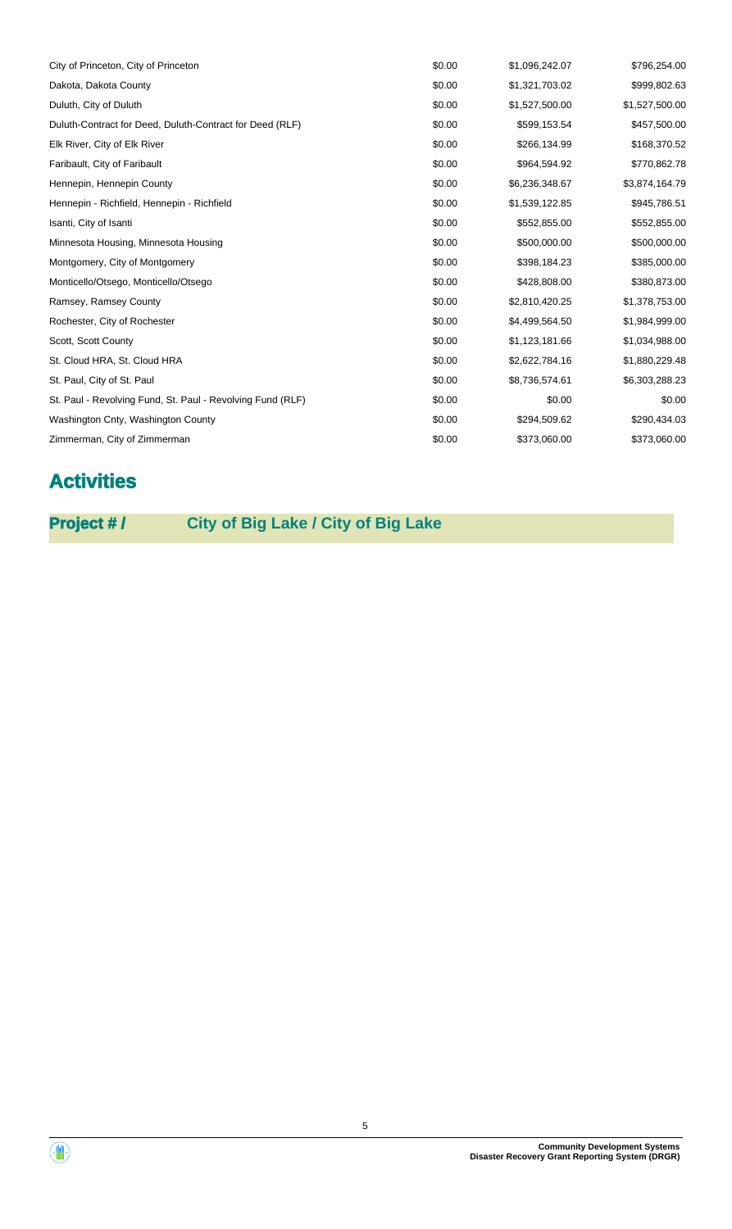| City of Princeton, City of Princeton                       | \$0.00 | \$1,096,242.07 | \$796,254.00   |
|------------------------------------------------------------|--------|----------------|----------------|
| Dakota, Dakota County                                      | \$0.00 | \$1,321,703.02 | \$999,802.63   |
| Duluth, City of Duluth                                     | \$0.00 | \$1,527,500.00 | \$1,527,500.00 |
| Duluth-Contract for Deed, Duluth-Contract for Deed (RLF)   | \$0.00 | \$599,153.54   | \$457,500.00   |
| Elk River, City of Elk River                               | \$0.00 | \$266,134.99   | \$168,370.52   |
| Faribault, City of Faribault                               | \$0.00 | \$964,594.92   | \$770,862.78   |
| Hennepin, Hennepin County                                  | \$0.00 | \$6,236,348.67 | \$3,874,164.79 |
| Hennepin - Richfield, Hennepin - Richfield                 | \$0.00 | \$1,539,122.85 | \$945,786.51   |
| Isanti, City of Isanti                                     | \$0.00 | \$552,855.00   | \$552,855.00   |
| Minnesota Housing, Minnesota Housing                       | \$0.00 | \$500,000.00   | \$500,000.00   |
| Montgomery, City of Montgomery                             | \$0.00 | \$398,184.23   | \$385,000.00   |
| Monticello/Otsego, Monticello/Otsego                       | \$0.00 | \$428,808.00   | \$380,873.00   |
| Ramsey, Ramsey County                                      | \$0.00 | \$2,810,420.25 | \$1,378,753.00 |
| Rochester, City of Rochester                               | \$0.00 | \$4,499,564.50 | \$1,984,999.00 |
| Scott, Scott County                                        | \$0.00 | \$1,123,181.66 | \$1,034,988.00 |
| St. Cloud HRA, St. Cloud HRA                               | \$0.00 | \$2,622,784.16 | \$1,880,229.48 |
| St. Paul, City of St. Paul                                 | \$0.00 | \$8,736,574.61 | \$6,303,288.23 |
| St. Paul - Revolving Fund, St. Paul - Revolving Fund (RLF) | \$0.00 | \$0.00         | \$0.00         |
| Washington Cnty, Washington County                         | \$0.00 | \$294,509.62   | \$290,434.03   |
| Zimmerman, City of Zimmerman                               | \$0.00 | \$373,060.00   | \$373,060.00   |

# **Activities**

**Project # / City of Big Lake / City of Big Lake**

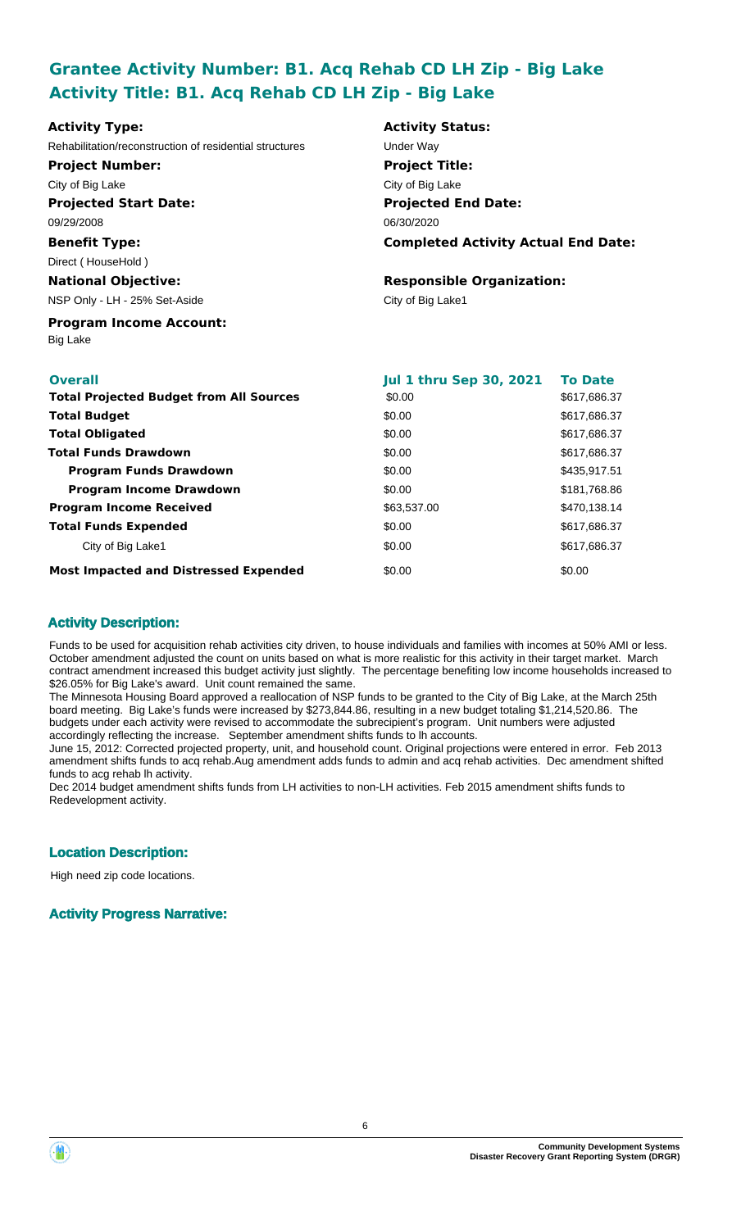## **Grantee Activity Number: B1. Acq Rehab CD LH Zip - Big Lake Activity Title: B1. Acq Rehab CD LH Zip - Big Lake**

| <b>Activity Type:</b>                                   | <b>Activity Status:</b>                    |                |  |
|---------------------------------------------------------|--------------------------------------------|----------------|--|
| Rehabilitation/reconstruction of residential structures | Under Way                                  |                |  |
| <b>Project Number:</b>                                  | <b>Project Title:</b>                      |                |  |
| City of Big Lake                                        | City of Big Lake                           |                |  |
| <b>Projected Start Date:</b>                            | <b>Projected End Date:</b>                 |                |  |
| 09/29/2008                                              | 06/30/2020                                 |                |  |
| <b>Benefit Type:</b>                                    | <b>Completed Activity Actual End Date:</b> |                |  |
| Direct (HouseHold)                                      |                                            |                |  |
| <b>National Objective:</b>                              | <b>Responsible Organization:</b>           |                |  |
| NSP Only - LH - 25% Set-Aside                           | City of Big Lake1                          |                |  |
| <b>Program Income Account:</b><br><b>Big Lake</b>       |                                            |                |  |
| <b>Overall</b>                                          | <b>Jul 1 thru Sep 30, 2021</b>             | <b>To Date</b> |  |
| <b>Total Projected Budget from All Sources</b>          | \$0.00                                     | \$617,686.37   |  |
| <b>Total Budget</b>                                     | \$0.00                                     | \$617,686.37   |  |
| <b>Total Obligated</b>                                  | \$0.00                                     | \$617,686.37   |  |
| <b>Total Funds Drawdown</b>                             | \$0.00                                     | \$617,686.37   |  |
| <b>Program Funds Drawdown</b>                           | \$0.00                                     | \$435,917.51   |  |
| <b>Program Income Drawdown</b>                          | \$0.00                                     | \$181,768.86   |  |
| <b>Program Income Received</b>                          | \$63,537.00                                | \$470,138.14   |  |
| <b>Total Funds Expended</b>                             | \$0.00                                     | \$617,686.37   |  |
| City of Big Lake1                                       | \$0.00                                     | \$617,686.37   |  |

**Most Impacted and Distressed Expended**

### **Activity Description:**

Funds to be used for acquisition rehab activities city driven, to house individuals and families with incomes at 50% AMI or less. October amendment adjusted the count on units based on what is more realistic for this activity in their target market. March contract amendment increased this budget activity just slightly. The percentage benefiting low income households increased to \$26.05% for Big Lake's award. Unit count remained the same.

\$0.00

The Minnesota Housing Board approved a reallocation of NSP funds to be granted to the City of Big Lake, at the March 25th board meeting. Big Lake's funds were increased by \$273,844.86, resulting in a new budget totaling \$1,214,520.86. The budgets under each activity were revised to accommodate the subrecipient's program. Unit numbers were adjusted accordingly reflecting the increase. September amendment shifts funds to lh accounts.

June 15, 2012: Corrected projected property, unit, and household count. Original projections were entered in error. Feb 2013 amendment shifts funds to acq rehab.Aug amendment adds funds to admin and acq rehab activities. Dec amendment shifted funds to acg rehab lh activity.

Dec 2014 budget amendment shifts funds from LH activities to non-LH activities. Feb 2015 amendment shifts funds to Redevelopment activity.

## **Location Description:**

High need zip code locations.

### **Activity Progress Narrative:**

\$0.00